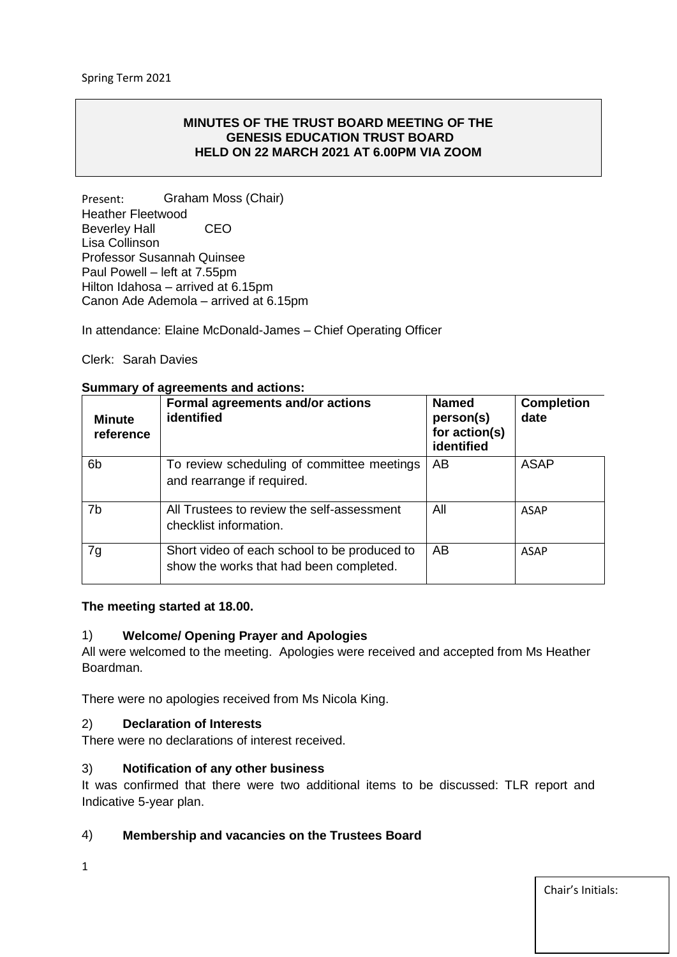#### **MINUTES OF THE TRUST BOARD MEETING OF THE GENESIS EDUCATION TRUST BOARD HELD ON 22 MARCH 2021 AT 6.00PM VIA ZOOM**

Present: Graham Moss (Chair) Heather Fleetwood Beverley Hall CEO Lisa Collinson Professor Susannah Quinsee Paul Powell – left at 7.55pm Hilton Idahosa – arrived at 6.15pm Canon Ade Ademola – arrived at 6.15pm

In attendance: Elaine McDonald-James – Chief Operating Officer

### Clerk: Sarah Davies

#### **Minute reference Formal agreements and/or actions identified Named person(s) for action(s) identified Completion date** 6b To review scheduling of committee meetings and rearrange if required. AB ASAP 7b All Trustees to review the self-assessment checklist information. All ASAP 7g Short video of each school to be produced to show the works that had been completed. AB ASAP

#### **Summary of agreements and actions:**

#### **The meeting started at 18.00.**

#### 1) **Welcome/ Opening Prayer and Apologies**

All were welcomed to the meeting. Apologies were received and accepted from Ms Heather Boardman.

There were no apologies received from Ms Nicola King.

### 2) **Declaration of Interests**

There were no declarations of interest received.

#### 3) **Notification of any other business**

It was confirmed that there were two additional items to be discussed: TLR report and Indicative 5-year plan.

### 4) **Membership and vacancies on the Trustees Board**

1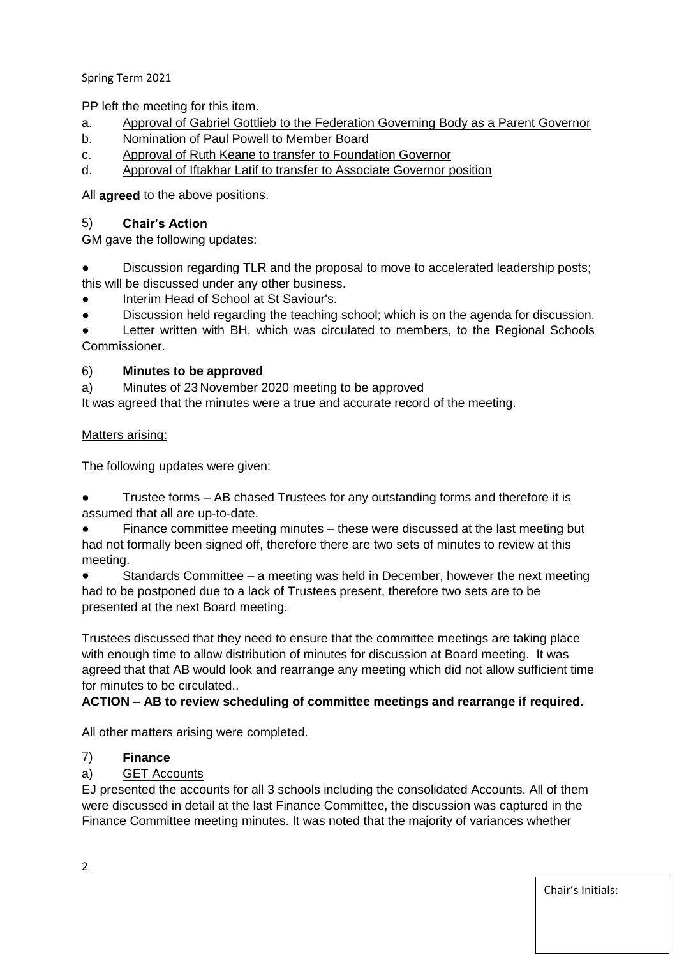Spring Term 2021

PP left the meeting for this item.

- a. Approval of Gabriel Gottlieb to the Federation Governing Body as a Parent Governor
- b. Nomination of Paul Powell to Member Board
- c. Approval of Ruth Keane to transfer to Foundation Governor
- d. Approval of Iftakhar Latif to transfer to Associate Governor position

All **agreed** to the above positions.

# 5) **Chair's Action**

GM gave the following updates:

- Discussion regarding TLR and the proposal to move to accelerated leadership posts; this will be discussed under any other business.
- Interim Head of School at St Saviour's.
- Discussion held regarding the teaching school; which is on the agenda for discussion.

Letter written with BH, which was circulated to members, to the Regional Schools Commissioner.

# 6) **Minutes to be approved**

a) Minutes of 23 November 2020 meeting to be approved

It was agreed that the minutes were a true and accurate record of the meeting.

# Matters arising:

The following updates were given:

Trustee forms – AB chased Trustees for any outstanding forms and therefore it is assumed that all are up-to-date.

Finance committee meeting minutes – these were discussed at the last meeting but had not formally been signed off, therefore there are two sets of minutes to review at this meeting.

Standards Committee – a meeting was held in December, however the next meeting had to be postponed due to a lack of Trustees present, therefore two sets are to be presented at the next Board meeting.

Trustees discussed that they need to ensure that the committee meetings are taking place with enough time to allow distribution of minutes for discussion at Board meeting. It was agreed that that AB would look and rearrange any meeting which did not allow sufficient time for minutes to be circulated..

# **ACTION – AB to review scheduling of committee meetings and rearrange if required.**

All other matters arising were completed.

# 7) **Finance**

a) GET Accounts

EJ presented the accounts for all 3 schools including the consolidated Accounts. All of them were discussed in detail at the last Finance Committee, the discussion was captured in the Finance Committee meeting minutes. It was noted that the majority of variances whether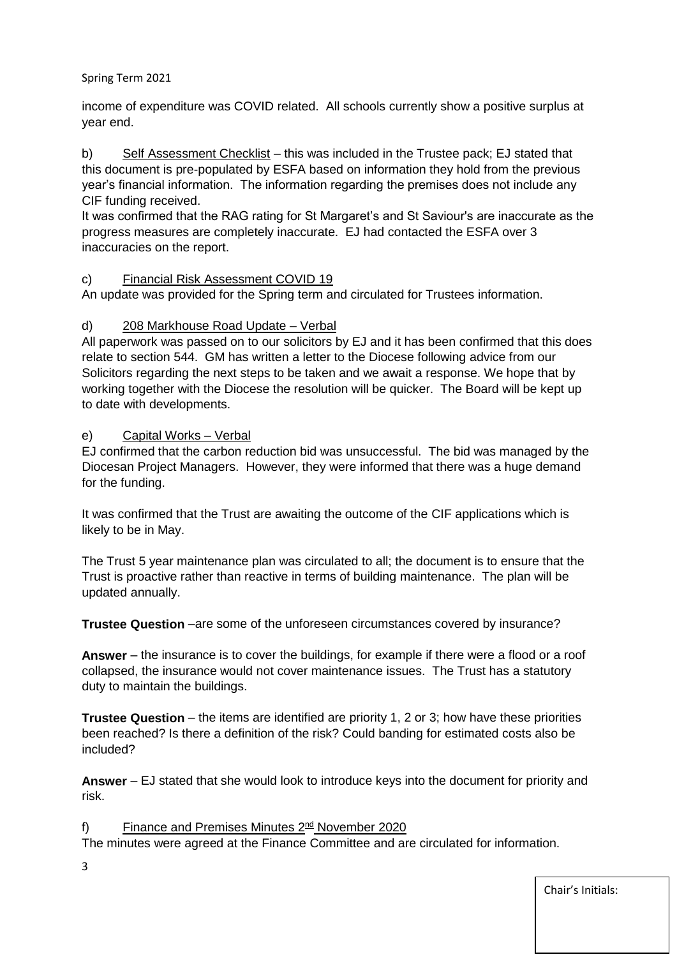# Spring Term 2021

income of expenditure was COVID related. All schools currently show a positive surplus at year end.

b) Self Assessment Checklist – this was included in the Trustee pack; EJ stated that this document is pre-populated by ESFA based on information they hold from the previous year's financial information. The information regarding the premises does not include any CIF funding received.

It was confirmed that the RAG rating for St Margaret's and St Saviour's are inaccurate as the progress measures are completely inaccurate. EJ had contacted the ESFA over 3 inaccuracies on the report.

# c) Financial Risk Assessment COVID 19

An update was provided for the Spring term and circulated for Trustees information.

# d) 208 Markhouse Road Update – Verbal

All paperwork was passed on to our solicitors by EJ and it has been confirmed that this does relate to section 544. GM has written a letter to the Diocese following advice from our Solicitors regarding the next steps to be taken and we await a response. We hope that by working together with the Diocese the resolution will be quicker. The Board will be kept up to date with developments.

# e) Capital Works – Verbal

EJ confirmed that the carbon reduction bid was unsuccessful. The bid was managed by the Diocesan Project Managers. However, they were informed that there was a huge demand for the funding.

It was confirmed that the Trust are awaiting the outcome of the CIF applications which is likely to be in May.

The Trust 5 year maintenance plan was circulated to all; the document is to ensure that the Trust is proactive rather than reactive in terms of building maintenance. The plan will be updated annually.

**Trustee Question** –are some of the unforeseen circumstances covered by insurance?

**Answer** – the insurance is to cover the buildings, for example if there were a flood or a roof collapsed, the insurance would not cover maintenance issues. The Trust has a statutory duty to maintain the buildings.

**Trustee Question** – the items are identified are priority 1, 2 or 3; how have these priorities been reached? Is there a definition of the risk? Could banding for estimated costs also be included?

**Answer** – EJ stated that she would look to introduce keys into the document for priority and risk.

# f) Finance and Premises Minutes 2<sup>nd</sup> November 2020

The minutes were agreed at the Finance Committee and are circulated for information.

3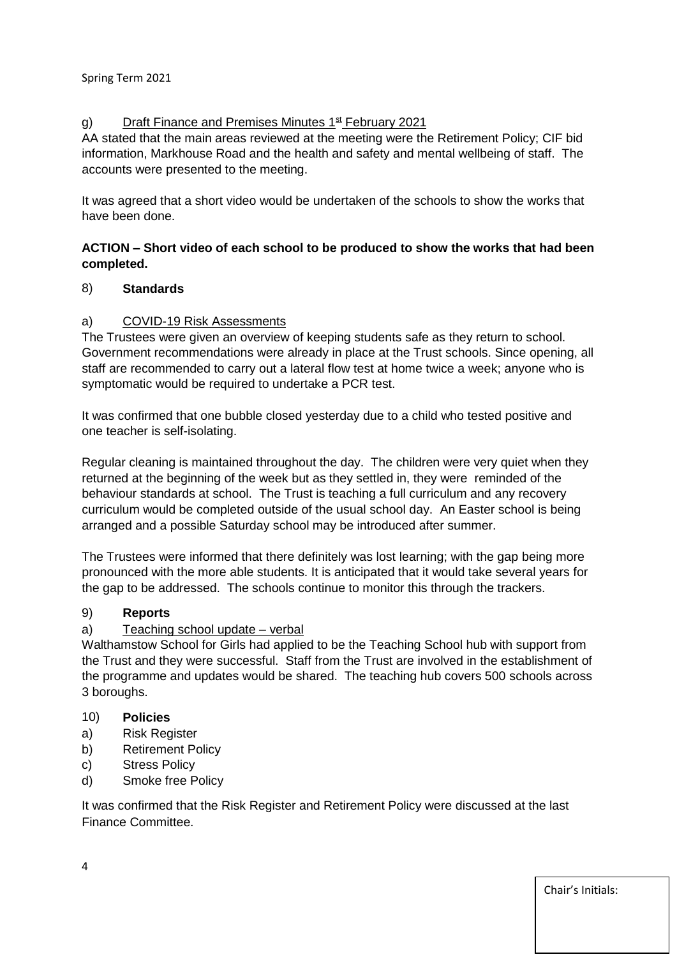# g) Draft Finance and Premises Minutes  $1<sup>st</sup>$  February 2021

AA stated that the main areas reviewed at the meeting were the Retirement Policy; CIF bid information, Markhouse Road and the health and safety and mental wellbeing of staff. The accounts were presented to the meeting.

It was agreed that a short video would be undertaken of the schools to show the works that have been done.

# **ACTION – Short video of each school to be produced to show the works that had been completed.**

# 8) **Standards**

# a) COVID-19 Risk Assessments

The Trustees were given an overview of keeping students safe as they return to school. Government recommendations were already in place at the Trust schools. Since opening, all staff are recommended to carry out a lateral flow test at home twice a week; anyone who is symptomatic would be required to undertake a PCR test.

It was confirmed that one bubble closed yesterday due to a child who tested positive and one teacher is self-isolating.

Regular cleaning is maintained throughout the day. The children were very quiet when they returned at the beginning of the week but as they settled in, they were reminded of the behaviour standards at school. The Trust is teaching a full curriculum and any recovery curriculum would be completed outside of the usual school day. An Easter school is being arranged and a possible Saturday school may be introduced after summer.

The Trustees were informed that there definitely was lost learning; with the gap being more pronounced with the more able students. It is anticipated that it would take several years for the gap to be addressed. The schools continue to monitor this through the trackers.

### 9) **Reports**

### a) Teaching school update – verbal

Walthamstow School for Girls had applied to be the Teaching School hub with support from the Trust and they were successful. Staff from the Trust are involved in the establishment of the programme and updates would be shared. The teaching hub covers 500 schools across 3 boroughs.

# 10) **Policies**

- a) Risk Register
- b) Retirement Policy
- c) Stress Policy
- d) Smoke free Policy

It was confirmed that the Risk Register and Retirement Policy were discussed at the last Finance Committee.